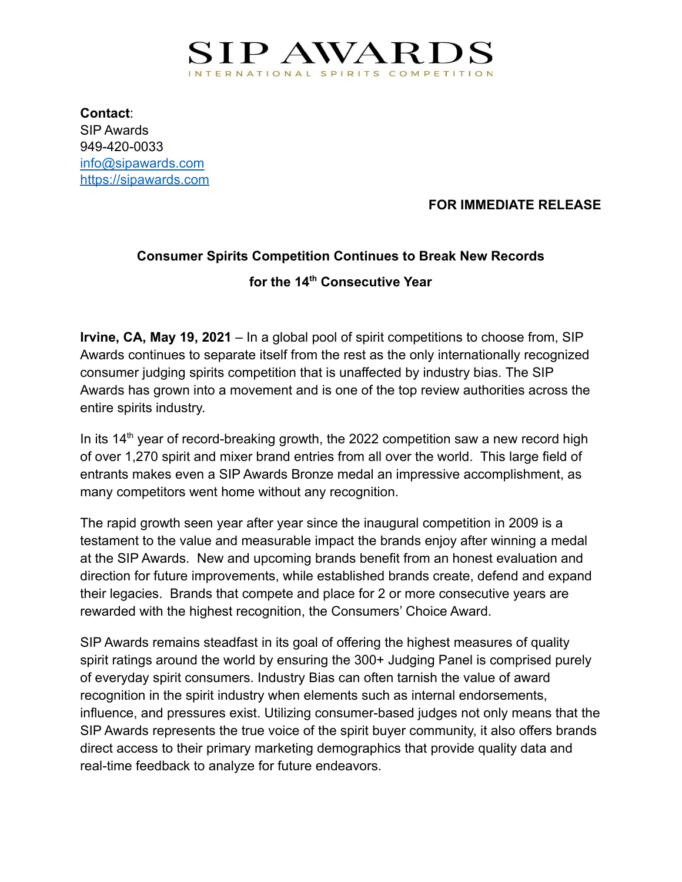

**Contact**: SIP Awards 949-420-0033 [info@sipawards.com](mailto:info@sipawards.com) <https://sipawards.com>

**FOR IMMEDIATE RELEASE**

## **Consumer Spirits Competition Continues to Break New Records for the 14th Consecutive Year**

**Irvine, CA, May 19, 2021** – In a global pool of spirit competitions to choose from, SIP Awards continues to separate itself from the rest as the only internationally recognized consumer judging spirits competition that is unaffected by industry bias. The SIP Awards has grown into a movement and is one of the top review authorities across the entire spirits industry.

In its  $14<sup>th</sup>$  year of record-breaking growth, the 2022 competition saw a new record high of over 1,270 spirit and mixer brand entries from all over the world. This large field of entrants makes even a SIP Awards Bronze medal an impressive accomplishment, as many competitors went home without any recognition.

The rapid growth seen year after year since the inaugural competition in 2009 is a testament to the value and measurable impact the brands enjoy after winning a medal at the SIP Awards. New and upcoming brands benefit from an honest evaluation and direction for future improvements, while established brands create, defend and expand their legacies. Brands that compete and place for 2 or more consecutive years are rewarded with the highest recognition, the Consumers' Choice Award.

SIP Awards remains steadfast in its goal of offering the highest measures of quality spirit ratings around the world by ensuring the 300+ Judging Panel is comprised purely of everyday spirit consumers. Industry Bias can often tarnish the value of award recognition in the spirit industry when elements such as internal endorsements, influence, and pressures exist. Utilizing consumer-based judges not only means that the SIP Awards represents the true voice of the spirit buyer community, it also offers brands direct access to their primary marketing demographics that provide quality data and real-time feedback to analyze for future endeavors.